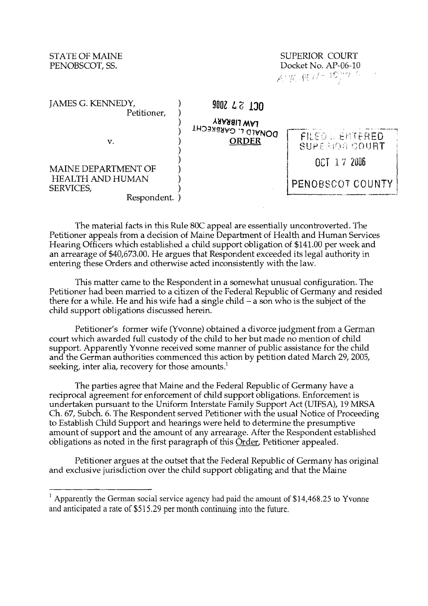## STATE OF MAINE PENOBSCOT, SS.

| SUPERIOR COURT                                                                                  |  |
|-------------------------------------------------------------------------------------------------|--|
| Docket No. AP-06-10                                                                             |  |
| $\mathcal{L}(\mathcal{W},\mathfrak{N},\mathcal{U}^{\perp})\mathbb{C}^{1,\gamma-1}_{\mathbb{C}}$ |  |

| JAMES G. KENNEDY,<br>Petitioner, | 9002 27 300                                        |                                                     |
|----------------------------------|----------------------------------------------------|-----------------------------------------------------|
| v.                               | LAW LIBRARY<br>DONALD L. GARBRECHT<br><b>ORDER</b> | <b>FILED &amp; ENTERED</b><br><b>SUPERIOR COURT</b> |
| <b>MAINE DEPARTMENT OF</b>       |                                                    | OCT 17 2006                                         |
| HEALTH AND HUMAN<br>SERVICES,    |                                                    | PENOBSCOT COUNTY                                    |
| Respondent.                      |                                                    |                                                     |

The material facts in this Rule 80C appeal are essentially uncontroverted. The Petitioner appeals from a decision of Maine Department of Health and Human Services Hearing Officers which established a chld support obligation of \$141.00 per week and an arrearage of \$40,673.00. He argues that Respondent exceeded its legal authority in entering these Orders and otherwise acted inconsistently with the law.

This matter came to the Respondent in a somewhat unusual configuration. The Petitioner had been married to a citizen of the Federal Republic of Germany and resided there for a while. He and his wife had a single child  $-$  a son who is the subject of the child support obligations discussed herein.

Petitioner's former wife (Yvonne) obtained a divorce judgment from a German court which awarded full custody of the child to her but made no mention of child support. Apparently Yvonne received some manner of public assistance for the child and the German authorities commenced this action by petition dated March 29, 2005, seeking, inter alia, recovery for those amounts.'

The parties agree that Maine and the Federal Republic of Germany have a reciprocal agreement for enforcement of chld support obligations. Enforcement is undertaken pursuant to the Uniform Interstate Family Support Act (UIFSA), 19 MRSA Ch. 67, Subch. 6. The Respondent served Petitioner with the usual Notice of Proceeding to Establish Child Support and hearings were held to determine the presumptive amount of support and the amount of any arrearage. After the Respondent established obligations as noted in the first paragraph of this Order, Petitioner appealed.

Petitioner argues at the outset that the Federal Republic of Germany has original and exclusive jurisdiction over the child support obligating and that the Maine

<sup>&</sup>lt;sup>1</sup> Apparently the German social service agency had paid the amount of \$14,468.25 to Yvonne and anticipated a rate of \$5 1 5.29 per month continuing into the future.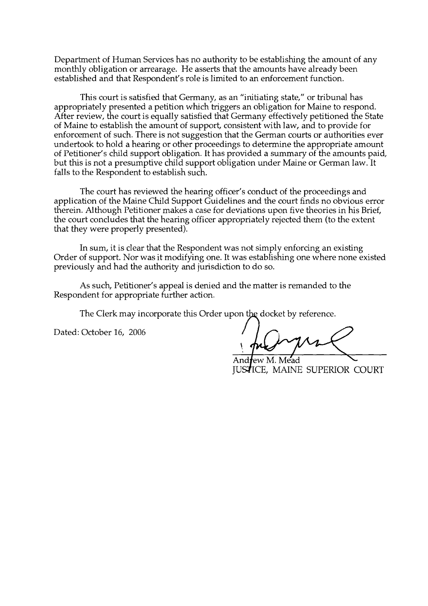Department of Human Services has no authority to be establishing the amount of any monthly obligation or arrearage. He asserts that the amounts have already been established and that Respondent's role is limited to an enforcement function.

This court is satisfied that Germany, as an "initiating state," or tribunal has appropriately presented a petition which triggers an obligation for Maine to respond. After review, the court is equally satisfied that Germany effectively petitioned the State of Maine to establish the amount of support, consistent with law, and to provide for enforcement of such. There is not suggestion that the German courts or authorities ever undertook to hold a hearing or other proceedings to determine the appropriate amount of Petitioner's child support obligation. It has provided a summary of the amounts paid, but this is not a presumptive child support obligation under Maine or German law. It falls to the Respondent to establish such.

The court has reviewed the hearing officer's conduct of the proceedings and application of the Maine Child Support Guidelines and the court finds no obvious error therein. Although Petitioner makes a case for deviations upon five theories in his Brief, the court concludes that the hearing officer appropriately rejected them (to the extent that they were properly presented).

In sum, it is clear that the Respondent was not simply enforcing an existing Order of support. Nor was it modifying one. It was establishing one where none existed previously and had the authority and jurisdiction to do so.

As such, Petitioner's appeal is denied and the matter is remanded to the Respondent for appropriate further action.

The Clerk may incorporate this Order upon the docket by reference.

Dated: October 16, 2006

Andrew M. Mead **JUSTICE, MAINE SUPERIOR COURT**